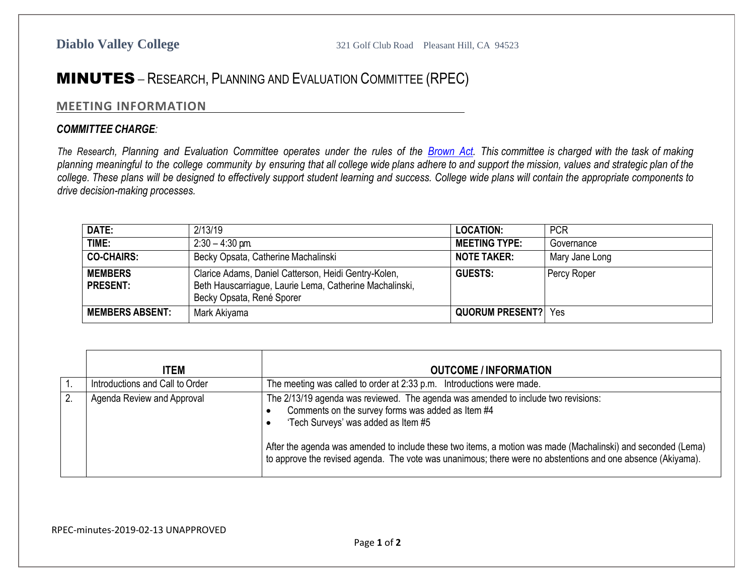## MINUTES – RESEARCH, PLANNING AND EVALUATION COMMITTEE (RPEC)

## **MEETING INFORMATION**

## *COMMITTEE CHARGE:*

The Research, Planning and Evaluation Committee operates under the rules of the [Brown](http://ag.ca.gov/publications/2003_Intro_BrownAct.pdf) Act. This committee is charged with the task of making planning meaningful to the college community by ensuring that all college wide plans adhere to and support the mission, values and strategic plan of the college. These plans will be designed to effectively support student learning and success. College wide plans will contain the appropriate components to *drive decision-making processes.*

| DATE:                             | 2/13/19                                                                                                                                      | <b>LOCATION:</b>           | <b>PCR</b>     |
|-----------------------------------|----------------------------------------------------------------------------------------------------------------------------------------------|----------------------------|----------------|
| TIME:                             | $2:30 - 4:30$ pm                                                                                                                             | <b>MEETING TYPE:</b>       | Governance     |
| <b>CO-CHAIRS:</b>                 | Becky Opsata, Catherine Machalinski                                                                                                          | <b>NOTE TAKER:</b>         | Mary Jane Long |
| <b>MEMBERS</b><br><b>PRESENT:</b> | Clarice Adams, Daniel Catterson, Heidi Gentry-Kolen,<br>Beth Hauscarriague, Laurie Lema, Catherine Machalinski,<br>Becky Opsata, René Sporer | <b>GUESTS:</b>             | Percy Roper    |
| <b>MEMBERS ABSENT:</b>            | Mark Akiyama                                                                                                                                 | <b>QUORUM PRESENT?</b> Yes |                |

| <b>ITEM</b>                     | <b>OUTCOME / INFORMATION</b>                                                                                                                                                                                                                                                                                                                                                                                 |
|---------------------------------|--------------------------------------------------------------------------------------------------------------------------------------------------------------------------------------------------------------------------------------------------------------------------------------------------------------------------------------------------------------------------------------------------------------|
| Introductions and Call to Order | The meeting was called to order at 2:33 p.m. Introductions were made.                                                                                                                                                                                                                                                                                                                                        |
| Agenda Review and Approval      | The 2/13/19 agenda was reviewed. The agenda was amended to include two revisions:<br>Comments on the survey forms was added as Item #4<br>'Tech Surveys' was added as Item #5<br>After the agenda was amended to include these two items, a motion was made (Machalinski) and seconded (Lema)<br>to approve the revised agenda. The vote was unanimous; there were no abstentions and one absence (Akiyama). |